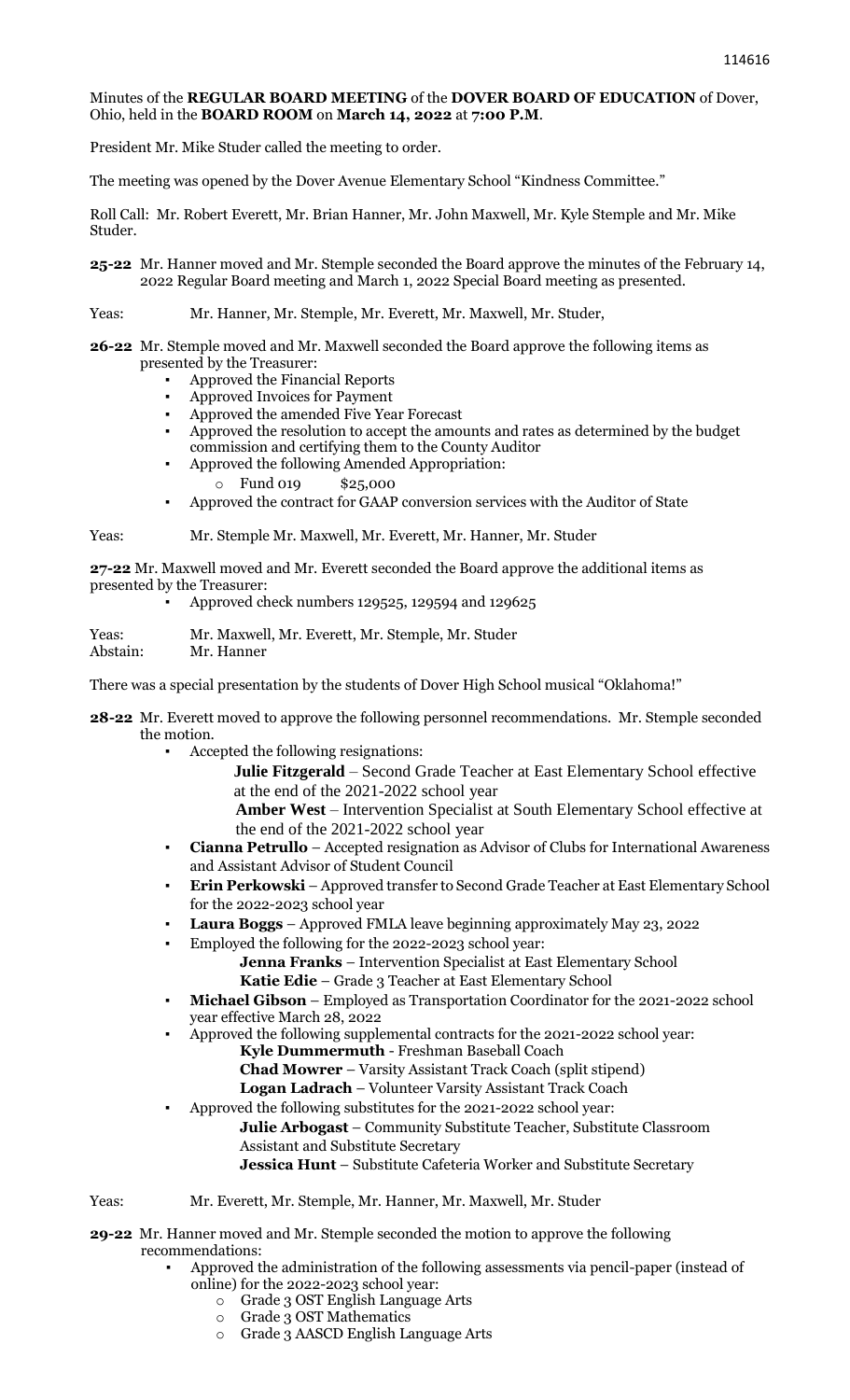## Minutes of the **REGULAR BOARD MEETING** of the **DOVER BOARD OF EDUCATION** of Dover, Ohio, held in the **BOARD ROOM** on **March 14, 2022** at **7:00 P.M**.

President Mr. Mike Studer called the meeting to order.

The meeting was opened by the Dover Avenue Elementary School "Kindness Committee."

Roll Call: Mr. Robert Everett, Mr. Brian Hanner, Mr. John Maxwell, Mr. Kyle Stemple and Mr. Mike Studer.

**25-22** Mr. Hanner moved and Mr. Stemple seconded the Board approve the minutes of the February 14, 2022 Regular Board meeting and March 1, 2022 Special Board meeting as presented.

## Yeas: Mr. Hanner, Mr. Stemple, Mr. Everett, Mr. Maxwell, Mr. Studer,

**26-22** Mr. Stemple moved and Mr. Maxwell seconded the Board approve the following items as presented by the Treasurer:

- Approved the Financial Reports
- Approved Invoices for Payment
- Approved the amended Five Year Forecast
- Approved the resolution to accept the amounts and rates as determined by the budget commission and certifying them to the County Auditor
- Approved the following Amended Appropriation:
	- Fund 019 \$25,000
- Approved the contract for GAAP conversion services with the Auditor of State

Yeas: Mr. Stemple Mr. Maxwell, Mr. Everett, Mr. Hanner, Mr. Studer

**27-22** Mr. Maxwell moved and Mr. Everett seconded the Board approve the additional items as presented by the Treasurer:

▪ Approved check numbers 129525, 129594 and 129625

Yeas: Mr. Maxwell, Mr. Everett, Mr. Stemple, Mr. Studer Abstain: Mr. Hanner

There was a special presentation by the students of Dover High School musical "Oklahoma!"

**28-22** Mr. Everett moved to approve the following personnel recommendations. Mr. Stemple seconded the motion.

Accepted the following resignations:

 **Julie Fitzgerald** – Second Grade Teacher at East Elementary School effective at the end of the 2021-2022 school year

 **Amber West** – Intervention Specialist at South Elementary School effective at the end of the 2021-2022 school year

- **Cianna Petrullo** Accepted resignation as Advisor of Clubs for International Awareness and Assistant Advisor of Student Council
- Erin Perkowski Approved transfer to Second Grade Teacher at East Elementary School for the 2022-2023 school year
- **Laura Boggs** Approved FMLA leave beginning approximately May 23, 2022
- Employed the following for the 2022-2023 school year:
	- **Jenna Franks** Intervention Specialist at East Elementary School **Katie Edie** – Grade 3 Teacher at East Elementary School
- Michael Gibson Employed as Transportation Coordinator for the 2021-2022 school year effective March 28, 2022
	- Approved the following supplemental contracts for the 2021-2022 school year: **Kyle Dummermuth** - Freshman Baseball Coach **Chad Mowrer** – Varsity Assistant Track Coach (split stipend) **Logan Ladrach** – Volunteer Varsity Assistant Track Coach
- Approved the following substitutes for the 2021-2022 school year:
	- **Julie Arbogast** Community Substitute Teacher, Substitute Classroom Assistant and Substitute Secretary
- **Jessica Hunt** Substitute Cafeteria Worker and Substitute Secretary

## Yeas: Mr. Everett, Mr. Stemple, Mr. Hanner, Mr. Maxwell, Mr. Studer

**29-22** Mr. Hanner moved and Mr. Stemple seconded the motion to approve the following recommendations:

- Approved the administration of the following assessments via pencil-paper (instead of online) for the 2022-2023 school year:
	- o Grade 3 OST English Language Arts
	- o Grade 3 OST Mathematics
	- o Grade 3 AASCD English Language Arts